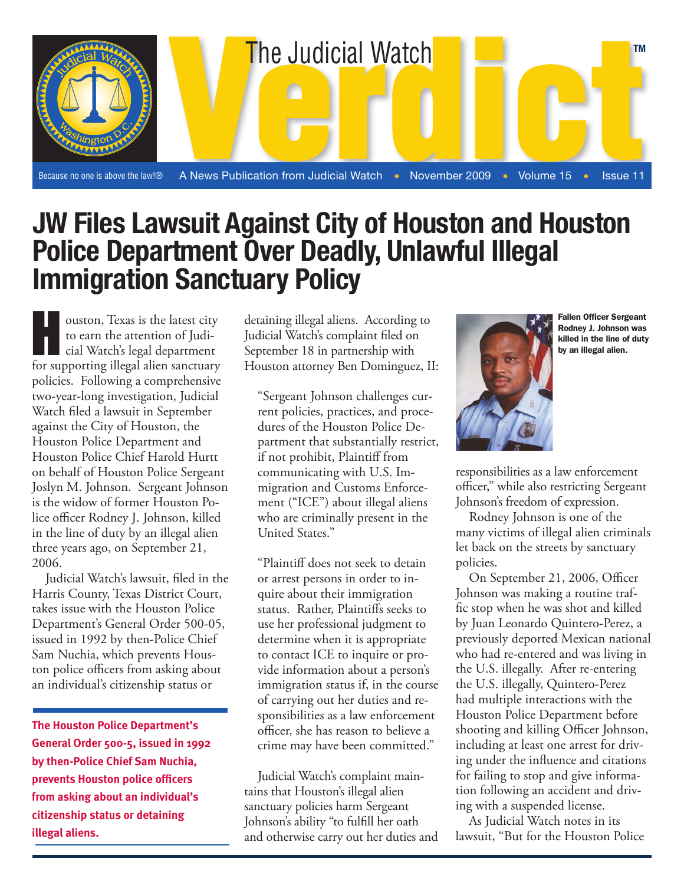

## **JW Files Lawsuit Against City of Houston and Houston Police Department Over Deadly, Unlawful Illegal Immigration Sanctuary Policy**

ouston, Texas is the latest city<br>to earn the attention of Judi-<br>cial Watch's legal department<br>for supporting illegal alien sanctuary to earn the attention of Judicial Watch's legal department for supporting illegal alien sanctuary policies. Following a comprehensive two-year-long investigation, Judicial Watch filed a lawsuit in September against the City of Houston, the Houston Police Department and Houston Police Chief Harold Hurtt on behalf of Houston Police Sergeant Joslyn M. Johnson. Sergeant Johnson is the widow of former Houston Police officer Rodney J. Johnson, killed in the line of duty by an illegal alien three years ago, on September 21, 2006.

Judicial Watch's lawsuit, filed in the Harris County, Texas District Court, takes issue with the Houston Police Department's General Order 500-05, issued in 1992 by then-Police Chief Sam Nuchia, which prevents Houston police officers from asking about an individual's citizenship status or

**The Houston Police Department's General Order 500-5, issued in 1992 by then-Police Chief Sam Nuchia, prevents Houston police officers from asking about an individual's citizenship status or detaining illegal aliens.**

detaining illegal aliens. According to Judicial Watch's complaint filed on September 18 in partnership with Houston attorney Ben Dominguez, II:

"Sergeant Johnson challenges current policies, practices, and procedures of the Houston Police Department that substantially restrict, if not prohibit, Plaintiff from communicating with U.S. Immigration and Customs Enforcement ("ICE") about illegal aliens who are criminally present in the United States."

"Plaintiff does not seek to detain or arrest persons in order to inquire about their immigration status. Rather, Plaintiffs seeks to use her professional judgment to determine when it is appropriate to contact ICE to inquire or provide information about a person's immigration status if, in the course of carrying out her duties and responsibilities as a law enforcement officer, she has reason to believe a crime may have been committed."

Manuel Chief of Sanctuary policies harm Sergeant Judicial Watch's complaint maintains that Houston's illegal alien Johnson's ability "to fulfill her oath and otherwise carry out her duties and



Fallen Officer Sergeant Rodney J. Johnson was killed in the line of duty by an illegal alien.

responsibilities as a law enforcement officer," while also restricting Sergeant Johnson's freedom of expression.

Rodney Johnson is one of the many victims of illegal alien criminals let back on the streets by sanctuary policies.

On September 21, 2006, Officer Johnson was making a routine traffic stop when he was shot and killed by Juan Leonardo Quintero-Perez, a previously deported Mexican national who had re-entered and was living in the U.S. illegally. After re-entering the U.S. illegally, Quintero-Perez had multiple interactions with the Houston Police Department before shooting and killing Officer Johnson, including at least one arrest for driving under the influence and citations for failing to stop and give information following an accident and driving with a suspended license.

As Judicial Watch notes in its lawsuit, "But for the Houston Police